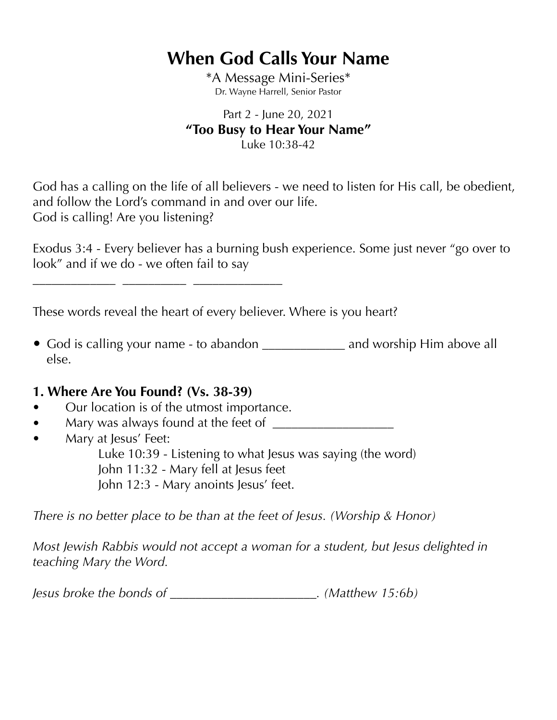# **When God Calls Your Name**

\*A Message Mini-Series\* Dr. Wayne Harrell, Senior Pastor

#### Part 2 - June 20, 2021 **"Too Busy to Hear Your Name"**  Luke 10:38-42

God has a calling on the life of all believers - we need to listen for His call, be obedient, and follow the Lord's command in and over our life. God is calling! Are you listening?

Exodus 3:4 - Every believer has a burning bush experience. Some just never "go over to look" and if we do - we often fail to say

These words reveal the heart of every believer. Where is you heart?

*•* God is calling your name - to abandon \_\_\_\_\_\_\_\_\_\_\_\_\_ and worship Him above all else.

### **1. Where Are You Found? (Vs. 38-39)**

*•* Our location is of the utmost importance.

**\_\_\_\_\_\_\_\_\_\_\_\_\_ \_\_\_\_\_\_\_\_\_\_ \_\_\_\_\_\_\_\_\_\_\_\_\_\_**

- *•* Mary was always found at the feet of \_\_\_\_\_\_\_\_\_\_\_\_\_\_\_\_\_\_\_
- *•* Mary at Jesus' Feet:
	- Luke 10:39 Listening to what Jesus was saying (the word) John 11:32 - Mary fell at Jesus feet

John 12:3 - Mary anoints Jesus' feet.

*There is no better place to be than at the feet of Jesus. (Worship & Honor)* 

*Most Jewish Rabbis would not accept a woman for a student, but Jesus delighted in teaching Mary the Word.* 

*Jesus broke the bonds of \_\_\_\_\_\_\_\_\_\_\_\_\_\_\_\_\_\_\_\_\_\_\_. (Matthew 15:6b)*